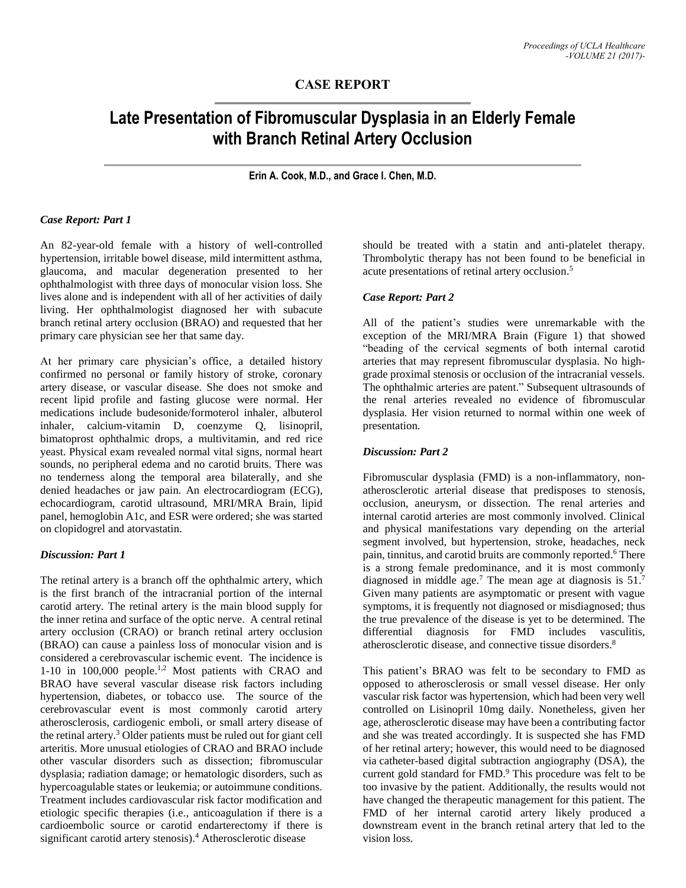# **CASE REPORT**

# **Late Presentation of Fibromuscular Dysplasia in an Elderly Female with Branch Retinal Artery Occlusion**

**Erin A. Cook, M.D., and Grace I. Chen, M.D.**

#### *Case Report: Part 1*

An 82-year-old female with a history of well-controlled hypertension, irritable bowel disease, mild intermittent asthma, glaucoma, and macular degeneration presented to her ophthalmologist with three days of monocular vision loss. She lives alone and is independent with all of her activities of daily living. Her ophthalmologist diagnosed her with subacute branch retinal artery occlusion (BRAO) and requested that her primary care physician see her that same day.

At her primary care physician's office, a detailed history confirmed no personal or family history of stroke, coronary artery disease, or vascular disease. She does not smoke and recent lipid profile and fasting glucose were normal. Her medications include budesonide/formoterol inhaler, albuterol inhaler, calcium-vitamin D, coenzyme Q, lisinopril, bimatoprost ophthalmic drops, a multivitamin, and red rice yeast. Physical exam revealed normal vital signs, normal heart sounds, no peripheral edema and no carotid bruits. There was no tenderness along the temporal area bilaterally, and she denied headaches or jaw pain. An electrocardiogram (ECG), echocardiogram, carotid ultrasound, MRI/MRA Brain, lipid panel, hemoglobin A1c, and ESR were ordered; she was started on clopidogrel and atorvastatin.

#### *Discussion: Part 1*

The retinal artery is a branch off the ophthalmic artery, which is the first branch of the intracranial portion of the internal carotid artery. The retinal artery is the main blood supply for the inner retina and surface of the optic nerve. A central retinal artery occlusion (CRAO) or branch retinal artery occlusion (BRAO) can cause a painless loss of monocular vision and is considered a cerebrovascular ischemic event. The incidence is 1-10 in 100,000 people.<sup>1,2</sup> Most patients with CRAO and BRAO have several vascular disease risk factors including hypertension, diabetes, or tobacco use. The source of the cerebrovascular event is most commonly carotid artery atherosclerosis, cardiogenic emboli, or small artery disease of the retinal artery. <sup>3</sup> Older patients must be ruled out for giant cell arteritis. More unusual etiologies of CRAO and BRAO include other vascular disorders such as dissection; fibromuscular dysplasia; radiation damage; or hematologic disorders, such as hypercoagulable states or leukemia; or autoimmune conditions. Treatment includes cardiovascular risk factor modification and etiologic specific therapies (i.e., anticoagulation if there is a cardioembolic source or carotid endarterectomy if there is significant carotid artery stenosis). <sup>4</sup> Atherosclerotic disease

should be treated with a statin and anti-platelet therapy. Thrombolytic therapy has not been found to be beneficial in acute presentations of retinal artery occlusion. 5

#### *Case Report: Part 2*

All of the patient's studies were unremarkable with the exception of the MRI/MRA Brain (Figure 1) that showed "beading of the cervical segments of both internal carotid arteries that may represent fibromuscular dysplasia. No highgrade proximal stenosis or occlusion of the intracranial vessels. The ophthalmic arteries are patent." Subsequent ultrasounds of the renal arteries revealed no evidence of fibromuscular dysplasia. Her vision returned to normal within one week of presentation.

#### *Discussion: Part 2*

Fibromuscular dysplasia (FMD) is a non-inflammatory, nonatherosclerotic arterial disease that predisposes to stenosis, occlusion, aneurysm, or dissection. The renal arteries and internal carotid arteries are most commonly involved. Clinical and physical manifestations vary depending on the arterial segment involved, but hypertension, stroke, headaches, neck pain, tinnitus, and carotid bruits are commonly reported. <sup>6</sup> There is a strong female predominance, and it is most commonly diagnosed in middle age.<sup>7</sup> The mean age at diagnosis is  $51$ .<sup>7</sup> Given many patients are asymptomatic or present with vague symptoms, it is frequently not diagnosed or misdiagnosed; thus the true prevalence of the disease is yet to be determined. The differential diagnosis for FMD includes vasculitis, atherosclerotic disease, and connective tissue disorders. 8

This patient's BRAO was felt to be secondary to FMD as opposed to atherosclerosis or small vessel disease. Her only vascular risk factor was hypertension, which had been very well controlled on Lisinopril 10mg daily. Nonetheless, given her age, atherosclerotic disease may have been a contributing factor and she was treated accordingly. It is suspected she has FMD of her retinal artery; however, this would need to be diagnosed via catheter-based digital subtraction angiography (DSA), the current gold standard for FMD. <sup>9</sup> This procedure was felt to be too invasive by the patient. Additionally, the results would not have changed the therapeutic management for this patient. The FMD of her internal carotid artery likely produced a downstream event in the branch retinal artery that led to the vision loss.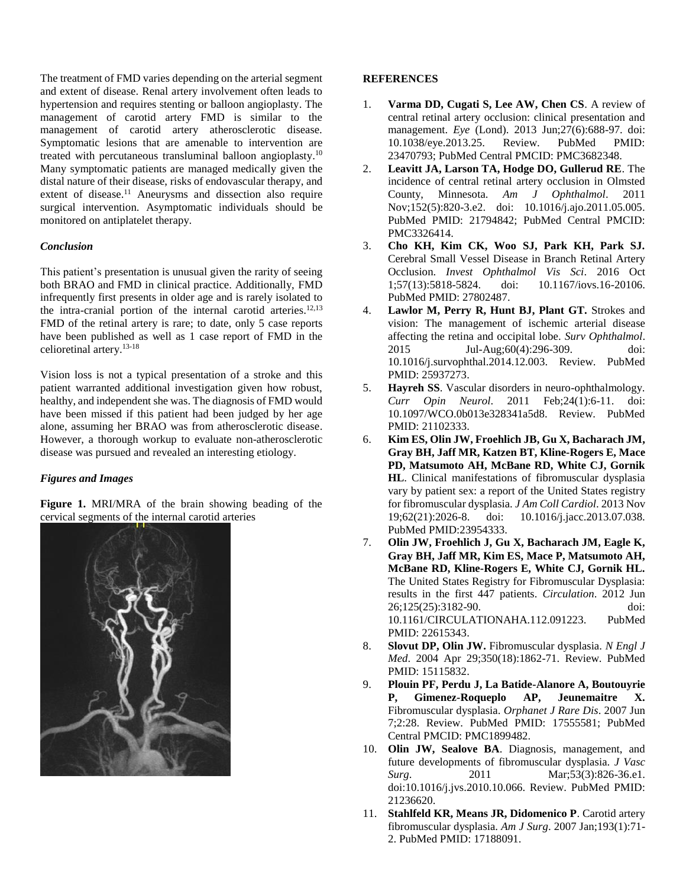The treatment of FMD varies depending on the arterial segment and extent of disease. Renal artery involvement often leads to hypertension and requires stenting or balloon angioplasty. The management of carotid artery FMD is similar to the management of carotid artery atherosclerotic disease. Symptomatic lesions that are amenable to intervention are treated with percutaneous transluminal balloon angioplasty.<sup>10</sup> Many symptomatic patients are managed medically given the distal nature of their disease, risks of endovascular therapy, and extent of disease.<sup>11</sup> Aneurysms and dissection also require surgical intervention. Asymptomatic individuals should be monitored on antiplatelet therapy.

#### *Conclusion*

This patient's presentation is unusual given the rarity of seeing both BRAO and FMD in clinical practice. Additionally, FMD infrequently first presents in older age and is rarely isolated to the intra-cranial portion of the internal carotid arteries. 12,13 FMD of the retinal artery is rare; to date, only 5 case reports have been published as well as 1 case report of FMD in the celioretinal artery. 13-18

Vision loss is not a typical presentation of a stroke and this patient warranted additional investigation given how robust, healthy, and independent she was. The diagnosis of FMD would have been missed if this patient had been judged by her age alone, assuming her BRAO was from atherosclerotic disease. However, a thorough workup to evaluate non-atherosclerotic disease was pursued and revealed an interesting etiology.

## *Figures and Images*

**Figure 1.** MRI/MRA of the brain showing beading of the cervical segments of the internal carotid arteries



## **REFERENCES**

- 1. **Varma DD, Cugati S, Lee AW, Chen CS**. A review of central retinal artery occlusion: clinical presentation and management. *Eye* (Lond). 2013 Jun;27(6):688-97. doi: 10.1038/eye.2013.25. Review. PubMed PMID: 23470793; PubMed Central PMCID: PMC3682348.
- 2. **Leavitt JA, Larson TA, Hodge DO, Gullerud RE**. The incidence of central retinal artery occlusion in Olmsted County, Minnesota. *Am J Ophthalmol*. 2011 Nov;152(5):820-3.e2. doi: 10.1016/j.ajo.2011.05.005. PubMed PMID: 21794842; PubMed Central PMCID: PMC3326414.
- 3. **Cho KH, Kim CK, Woo SJ, Park KH, Park SJ.** Cerebral Small Vessel Disease in Branch Retinal Artery Occlusion. *Invest Ophthalmol Vis Sci*. 2016 Oct 1;57(13):5818-5824. doi: 10.1167/iovs.16-20106. PubMed PMID: 27802487.
- 4. **Lawlor M, Perry R, Hunt BJ, Plant GT.** Strokes and vision: The management of ischemic arterial disease affecting the retina and occipital lobe. *Surv Ophthalmol*. 2015 Jul-Aug;60(4):296-309. doi: 10.1016/j.survophthal.2014.12.003. Review. PubMed PMID: 25937273.
- 5. **Hayreh SS**. Vascular disorders in neuro-ophthalmology. *Curr Opin Neurol*. 2011 Feb;24(1):6-11. doi: 10.1097/WCO.0b013e328341a5d8. Review. PubMed PMID: 21102333.
- 6. **Kim ES, Olin JW, Froehlich JB, Gu X, Bacharach JM, Gray BH, Jaff MR, Katzen BT, Kline-Rogers E, Mace PD, Matsumoto AH, McBane RD, White CJ, Gornik HL**. Clinical manifestations of fibromuscular dysplasia vary by patient sex: a report of the United States registry for fibromuscular dysplasia. *J Am Coll Cardiol*. 2013 Nov 19;62(21):2026-8. doi: 10.1016/j.jacc.2013.07.038. PubMed PMID:23954333.
- 7. **Olin JW, Froehlich J, Gu X, Bacharach JM, Eagle K, Gray BH, Jaff MR, Kim ES, Mace P, Matsumoto AH, McBane RD, Kline-Rogers E, White CJ, Gornik HL.** The United States Registry for Fibromuscular Dysplasia: results in the first 447 patients. *Circulation*. 2012 Jun 26;125(25):3182-90. doi: 10.1161/CIRCULATIONAHA.112.091223. PubMed PMID: 22615343.
- 8. **Slovut DP, Olin JW.** Fibromuscular dysplasia. *N Engl J Med*. 2004 Apr 29;350(18):1862-71. Review. PubMed PMID: 15115832.
- 9. **Plouin PF, Perdu J, La Batide-Alanore A, Boutouyrie P, Gimenez-Roqueplo AP, Jeunemaitre X.** Fibromuscular dysplasia. *Orphanet J Rare Dis*. 2007 Jun 7;2:28. Review. PubMed PMID: 17555581; PubMed Central PMCID: PMC1899482.
- 10. **Olin JW, Sealove BA**. Diagnosis, management, and future developments of fibromuscular dysplasia. *J Vasc Surg.* 2011 Mar;53(3):826-36.e1. doi:10.1016/j.jvs.2010.10.066. Review. PubMed PMID: 21236620.
- 11. **Stahlfeld KR, Means JR, Didomenico P**. Carotid artery fibromuscular dysplasia. *Am J Surg*. 2007 Jan;193(1):71- 2. PubMed PMID: 17188091.